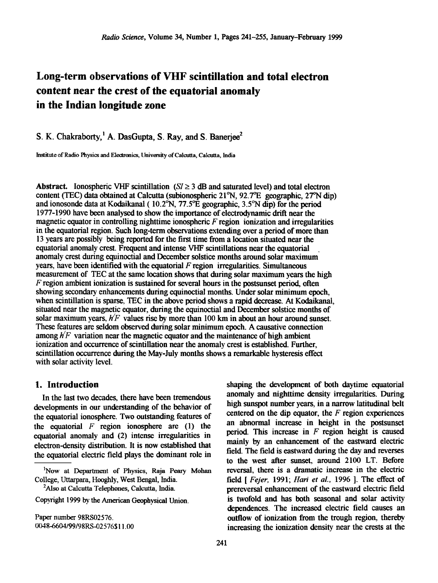# **Long-term observations of VHF scintillation and total electron content near the crest of the equatorial anomaly in the Indian longitude zone**

S. K. Chakraborty,<sup>1</sup> A. DasGupta, S. Ray, and S. Banerjee<sup>2</sup>

Institute of Radio Physics and Electronics, University of Calcutta, Calcutta, India

**Abstract.** Ionospheric VHF scintillation ( $SI \geq 3$  dB and saturated level) and total electron content (TEC) data obtained at Calcutta (subionospheric 21<sup>°</sup>N, 92.7<sup>°</sup>E geographic, 27<sup>°</sup>N dip) **and ionosonde data at Kodaikanal ( 10.2øN, 77.5øE geographic, 3.5øN dip) for the period 1977-1990 have been analysed to show the importance of electrodynamic drift near the magnetic equator in controlling nighttime ionospheric F region ionization and irregularities in the equatorial region. Such long-term observations extending over a period of more than 13 years are possibly being reported for the first time from a location situated near the equatorial anomaly crest. Frequent and intense VHF scintillations near the equatorial anomaly crest during equinoctial and December solstice months around solar maximum'**  years, have been identified with the equatorial  $F$  region irregularities. Simultaneous measurement of TEC at the same location shows that during solar maximum years the high **F region ambient ionization is sustained for several hours in the postsunset period, often**  showing secondary enhancements during equinoctial months. Under solar minimum epoch, **when scintillation is sparse, TEC in the above period shows a rapid decrease. At Kodaikanal, situated near the magnetic equator, during the equinoctial and December solstice months of**  solar maximum years,  $h/F$  values rise by more than 100 km in about an hour around sunset. These features are seldom observed during solar minimum epoch. A causative connection **among h/F variation near the magnetic equator and the maintenance of high ambient ionization and occurrence of scintillation near the anomaly crest is established. Further, scintillation occurrence during the May-July months shows a remarkable hysteresis effect with solar activity level.** 

### **1. Introduction**

**In the last two decades, there have been tremendous**  developments in our understanding of the behavior of **the equatorial ionosphere. Two outstanding features of the equatorial F region ionosphere are (1) the equatorial anomaly and (2) intense irregularities in electron-density distribution. It is now established that the equatorial electric field plays the dominant role in** 

**2Also at Calcutta Telephones, Calcutta, India.** 

**Paper number 98RS02576. 0048-6604/99/98RS412 576511.00**  shaping the development of both daytime equatorial **anomaly and nighttime density. irregularities. During**  high sunspot number years, in a narrow latitudinal belt **centered on the dip equator, the F region experiences an abnormal increase in height in the postsunset period. This increase in F region height is caused mainly by an enhancement of the eastward electric field. The field is eastward during the day and reverses to the west after sunset, around 2100 LT. Before reversal, there is a dramatic increase in the electric field [ Fejer, 1991; Hari et al., 1996 ]. The effect of**  prereversal enhancement of the eastward electric field is twofold and has both seasonal and solar activity **dependences. The increased electric field causes an outflow of ionization from the trough region. thereby. increasing the ionization density. near the crests at the** 

**<sup>•</sup>Now at Department of Physics, Raja Peary Mohan College, Uttarpara, Hooghly, West Bengal, India.** 

Copyright 1999 by the American Geophysical Union.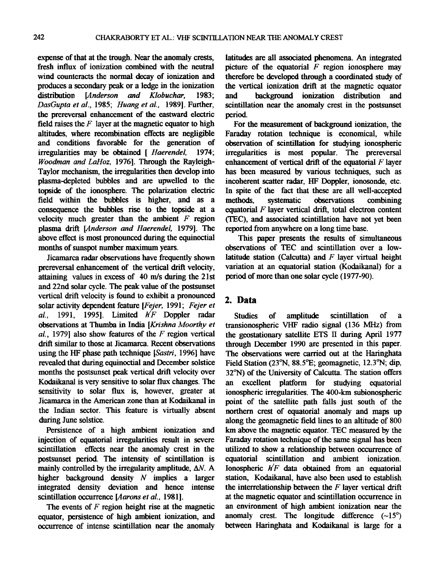**expense of that at the trough. Near the anomaly crests, fresh influx of ionization combined with the neutral wind counteracts the normal decay of ionization and produces a secondary peak or a ledge in the ionization**  *distemberson and* **DasGupta et al., 1985; Huang et al., 1989]. Further, the prereversal enhancement of the eastward electric field raises the F layer at the magnetic equator to high altitudes, where recombination effects are negligible**  and conditions favorable for the generation of *irregularities* may be obtained [*Haerendel*, 1974; **irregularities may be obtained [ Haerendel, Woodman and LaHoz, 1976]. Through the Rayleigh-Taylor mechanism, the irregularities then develop into plasma-depleted bubbles and are upwelled to the topside of the ionosphere. The polarization electric field within the bubbles is higher, and as a consequence the bubbles rise to the topside at a**  velocity much greater than the ambient  $F$  region **plasma drift [Anderson and Haerendel, 1979]. The above effect is most pronounced uring the equinoctial months of sunspot number maximum years.** 

**Jicamarca radar observations have frequently shown prereversal enhancement of the vertical drift velocity, attaining values in excess of 40 m/s during the 21st and 22nd solar cycle. The peak value of the postsunset vertical drift velocity is found to exhibit a pronounced solar activity dependent feature [Fejer, 1991; Fejer et al., 1991, 1995]. Limited h/F Doppler radar observations at Thumba in India [Krishna Moorthy et al., 1979] also show features of the F region vertical drift similar to those at Jicamarca. Recent observations using the HF phase path technique [Sastri, 1996] have revealed that during equinoctial and December solstice months the postsunset peak vertical drift velocity over Kodaikanal is very sensitive to solar flux changes. The sensitivity to solar flux is, however, greater at Jicamarca in the American zone than at Kodaikanal in the Indian sector. This feature is virtually absem during June solstice.** 

**Persistence of a high ambiem ionization and injection of equatorial irregularities result in severe scintillation effects near the anomaly crest in the**  postsunset period. The intensity of scintillation is **mainly controlled by the irregularity amplitude, AN. A higher background density N implies a larger integrated density deviation and hence intense scintillation occurrence [Aarons et al., 1981].** 

**The events of F region height rise at the magnetic equator, persistence of high ambient ionization, and occurrence of intense scintillation near the anomaly** 

**latitudes are all associated phenomena. An integrated picture of the equatorial F region ionosphere may therefore be developed through a coordinated study of the vertical ionization drift at the magnetic equator background** ionization distribution **scintillation near the anomaly crest in the postsunset period.** 

**For the measurement of background ionization, the Faraday rotation technique is economical, while observation of scintillation for studying ionospheric irregularities is most popular. The prereversal enhancement of vertical drift of the equatorial F layer has been measured by various techniques, such as incoherent scatter radar, HF Doppler, ionosonde, etc. In spite of the fact that these are all well-accepted methods, systematic observations combining equatorial F layer vertical drift, total electron content (TEC), and associated scintillation have not yet been reported from anywhere on a long time base.** 

**This paper presents the results of simultaneous observations of TEC and scintillation over a lowlatitude station (Calcutta) and F layer virtual height variation at an equatorial station (Kodaikanal) for a period of more than one solar cycle (1977-90).** 

# **2. Data**

**Studies of amplitude scintillation of a transionospheric VHF radio signal (136 MHz) from the geostationary satellite ETS II during April 1977 through December 1990 are presented in this paper. The observations were camed out at the Haringhata Field Station (23øN, 88.5øE; geomagnetic, 12.3øN; dip,**  32°N) of the University of Calcutta. The station offers **an excellent platform for studying equatorial ionospheric irregularities. The 400-kin subionospheric point of the satellite path falls just south of the northern crest of equatorial anomaly and maps up along the geomagnetic field lines to an altitude of 800 km above the magnetic equator. TEC measured by the Faraday rotation technique of the same signal has been utilized to show a relationship between occurrence of equatorial scintillation and ambient ionization. Ionospheric h/F data obtained from an equatorial station, Kodaikanal, have also been used to establish the interrelationship between the F layer vertical drift at the magnetic equator and scintillation occurrence in an environment of high ambient ionization near the**  anomaly crest. The longitude difference  $(-15^{\circ})$ **between Haringhata and Kodaikanal is large for a**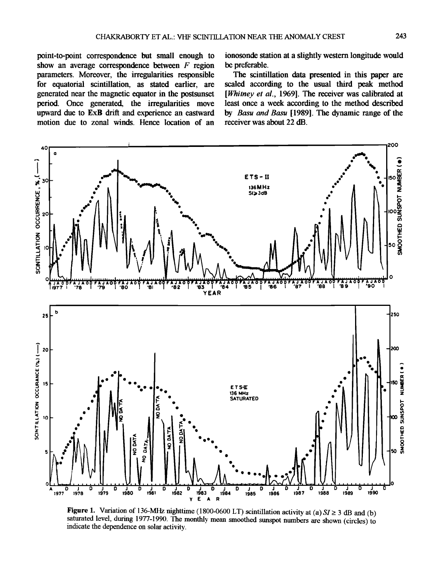**point-to-poim correspondence but small enough to show an average correspondence between F region parameters. Moreover, the irregularities responsible for equatorial scintillation, as stated earlier, are generated near the magnetic equator in the postsunset**  period. Once generated, the irregularities move **upward due to ExB drift and experience an eastward motion due to zonal winds. Hence location of an**  **ionosonde station at a slightly western longitude would be preferable.** 

**The scintillation data presented in this paper are scaled according to the usual third peak method**  [Whitney et al., 1969]. The receiver was calibrated at **least once a week according to the method described by Basu and Basu [1989]. The dynamic range of the receiver was about 22 dB.** 



**Figure 1.** Variation of 136-MHz nighttime (1800-0600 LT) scintillation activity at (a)  $SI \ge 3$  dB and (b) saturated level, during 1977-1990. The monthly mean smoothed sunspot numbers are shown (circles) to **indicate the dependence on solar activity.**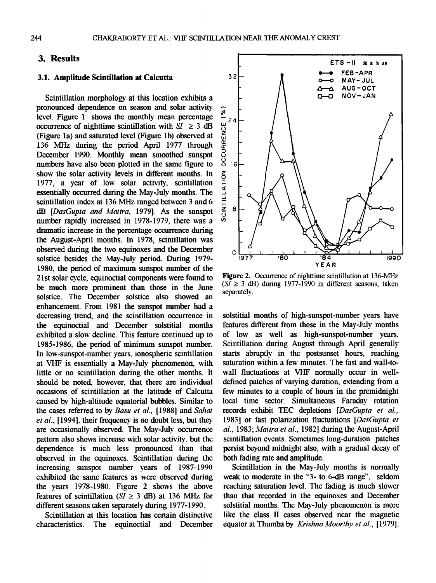### **3. Results**

#### **3.1. Amplitude Scintillation at Calcutta**

**Scintillation morphology at this location exhibits a pronounced dependence on season and solar activity**<br>level. Figure 1 shows the monthly mean percentage level. Figure 1 shows the monthly mean percentage<br>occurrence of nighttime scintillation with  $SI \ge 3$  dB<br>(Figure 1a) and saturated level (Figure 1b) observed at<br>136 MHz during the period April 1977 through<br>December 1990. M **occurrence of nighttime scintillation with**  $SI \geq 3$  **dB (Figure la) and saturated level (Figure lb) observed at 136 MHz during the period April 1977 through December 1990. Monthly mean smoothed sunspot numbers have also been plotted in the same figure to**  show the solar activity levels in different months. In **1977, a year of low solar activity, scintillation essentially occurred during the May-July months. The scintillation index at 136 MHz ranged between 3 and 6 dB [DasGupta and Maitra, 1979]. As the sunspot number rapidly increased in 1978-1979, there was a dramatic increase in the percentage occurrence during the August-April months. In 1978, scintillation was observed during the two equinoxes and the December solstice besides the May-July period. During 1979- 1980, the period of maximum sunspot number of the 21st solar cycle, equinoctial components were found to be much more prominent than those in the June solstice. The December solstice also showed an**  enhancement. From 1981 the sunspot number had a **decreasing trend, and the scintillation occurrence in the equinoctial and December solstitial months exhibited a slow decline. This feature continued up to 1985-1986, the period of minimum sunspot number. In low-sunspot-number years. ionospheric scintillation at VHF is essentially a May-July phenomenon. with little or no scintillation during the other months. It should be noted. however. that there are individual occasions of scintillation at the latitude of Calcutta caused by high-altitude equatorial bubbles. Similar 'to**  the cases referred to by Basu et al., [1988] and Sahai **et al.. [1994]. their frequency is no doubt less. but they are occasionally observed. The May-July occurrence**  pattern also shows increase with solar activity, but the **dependence is much less pronounced than that observed in the equinoxes. Scintillation during the increasing sunspot number years of 1987-1990 exhibited the same features as were observed during the years 1978-1980. Figure 2 shows the above**  features of scintillation  $(SI \geq 3$  dB) at 136 MHz for **different seasons taken separately during 1977-1990.** 

**Scintillation at this location has certain distinctive characteristics. The equinoctial and December** 



**Figure 2. Occurrence of nighttime scintillation at 136-MHz**   $(S\bar{I} \geq 3$  dB) during 1977-1990 in different seasons, taken **separately.** 

solstitial months of high-sunspot-number years have **features different from those in the May-July months of low as well as high-sunspot-number years. Scintillation during August through April generally starts abruptly in the postsunset hours, reaching saturation within a few minutes. The fast and wall-towall fluctuations at VHF normally occur in welldefined patches of varying duration, extending from a few minutes to a couple of hours in the premidnight local time sector. Simultaneous Faraday rotation**  records exhibit TEC depletions [DasGupta et al., **1983] or fast polarization fluctuations [DasGupta et al., 1983; Maitra et al., 1982] during the August-April scintillation events. Sometimes long-duration patches persist beyond midnight also. with a gradual decay of both fading rate and amplitude.** 

Scintillation in the May-July months is normally **weak to moderate in the "3- to 6-dB range", seldom reaching saturation level. The fading is much slower than that recorded in the equinoxes and December solstitial months. The May-July phenomenon is more**  like the class II cases observed near the magnetic equator at Thumba by Krishna Moorthy et al., [1979].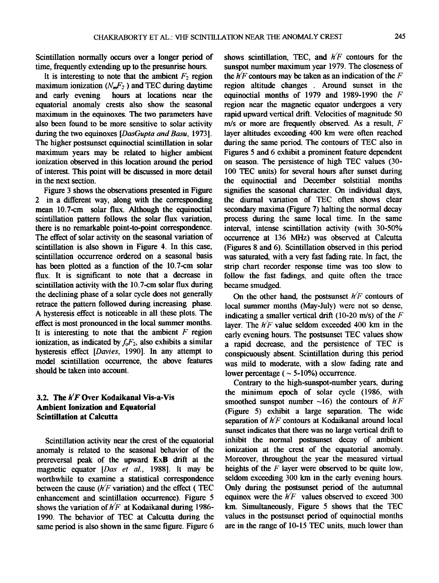**Scintillation normally occurs over a longer period of time, frequemly extending up to the presunrise hours.** 

It is interesting to note that the ambient  $F_2$  region maximum ionization  $(N_mF_2)$  and TEC during daytime<br>and early evening hours at locations near the hours at locations near the **equatorial anomaly crests also show the seasonal maximum in the equinoxes. The two parameters have also been found to be more sensitive to solar activity during the two equinoxes [DasGupta and Basu, 1973]. The higher postsunset equinoctial scintillation in solar maximum years may be related to higher ambient ionization observed in this location around the period of interest. This point will be discussed in more detail in the next section.** 

**Figure 3 shows the observations presented in Figure 2 in a different way, along with the corresponding mean 10.7-cm solar flux. Although the equinoctial scintillation pattern follows the solar flux variation,**  there is no remarkable point-to-point correspondence. **The effect of solar activity on the seasonal variation of scintillation is also shown in Figure 4. In this case. scintillation occurrence ordered on a seasonal basis has been plotted as a function of the 10.7-cm solar flux. It is significant to note that a decrease in scimillation activity with the 10.7-cm solar flux during the declimng phase of a solar cycle does not generally retrace the pattern followed during increasing phase. A hysteresis effect is noticeable in all these plots. The effect is most pronounced in the local summer months. It is interesting to note that the ambient F region**  ionization, as indicated by  $f_0F_2$ , also exhibits a similar hysteresis effect [Davies, 1990]. In any attempt to **model scintillation occurrence, the above features should be taken into account.** 

### **3.2. The h/F Over Kodaikanal Vis-a-Vis Ambient Ionization and Equatorial Scintillation at Calcutta**

Scintillation activity near the crest of the equatorial **anomaly is related to the seasonal behavior of the prereversal peak of the upward ExB drift at the**  magnetic equator [Das et al., 1988]. It may be **worthwhile to examine a statistical correspondence**  between the cause  $(h/F \text{ variation})$  and the effect (TEC **enhancement and scintillation occurrence). Figure 5 shows the variation of h/F at Kodaikanal during 1986- 1990. The behavior of TEC at Calcutta during the same period is also shown in the same figure. Figure 6**  shows scintillation, TEC, and  $h/F$  contours for the **sunspot number maximum year 1979. The closeness of**  the  $h/F$  contours may be taken as an indication of the  $F$ region altitude changes . Around sunset in the **equinoctial months of 1979 and 1989-1990 the F**  region near the magnetic equator undergoes a very **rapid upward vertical drift. Velocities of magnitude 50 m/s or more are frequently observed. As a result, F layer altitudes exceeding 400 km were often reached during the same period. The contours of TEC also in Figures 5 and 6 exhibit a prominent feature dependent on season. The persistence of high TEC values (30- 100 TEC umts) for several hours after sunset during the equinoctial and December solstitial months signifies the seasonal character. On individual days, the diurnal variation of TEC often shows clear secondary. maxima (Figure 7) halting the normal decay process during the same local time. In the same interval, intense scintillation activity (with 30-50% occurrence at 136 MHz) was observed at Calcutta (Figures 8 and 6). Scintillation observed in this period was saturated, with a very fast fading rate. In fact, the strip chart recorder response time was too slow to**  follow the fast fadings, and quite often the trace **became smudged.** 

**On the other hand, the postsunset h/F contours of local summer months (May-July) were not so dense, indicating a smaller vertical drift (10-20 m/s) of the F**  laver. The  $h/F$  value seldom exceeded 400 km in the **early evening hours. The postsunset TEC values show a rapid decrease, and the persistence of TEC is conspicuously absem. Scintillation during this period was mild to moderate, with a slow fading rate and**  lower percentage  $( \sim 5{\text -}10\%)$  occurrence.

**Contrary to the high-sunspot-number years, during the nfinimum epoch of solar cycle (1986. with**  smoothed sunspot number  $\sim$ 16) the contours of  $h/F$ **(Figure 5) exhibit a large separation. The wide**  separation of  $h/F$  contours at Kodaikanal around local **sunset indicates that there was no large vertical drift to inhibit the normal postsunset decay of ambient ionization at the crest of the equatorial anomaly. Moreover. throughout the year the measured virtual heights of the F layer were observed to be quite low, seldom exceeding 300 km in the early evening hours. Only during the postsunset period of the autumnal**  equinox were the  $h/F$  values observed to exceed 300 km. Simultaneously, Figure 5 shows that the TEC **values in the postsunset period of equinoctial months are in the range of 10-15 TEC units. much lower than**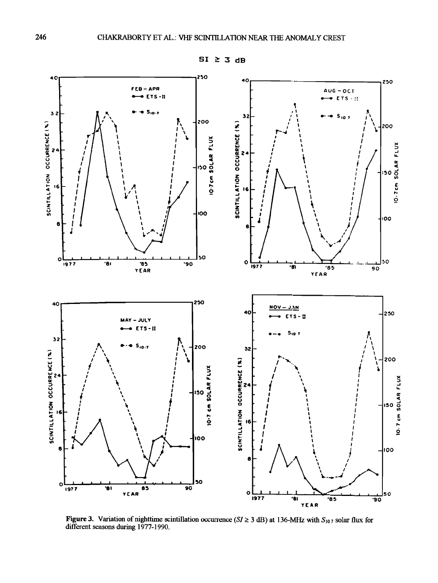

Figure 3. Variation of nighttime scintillation occurrence ( $SI \ge 3$  dB) at 136-MHz with  $S_{107}$  solar flux for different seasons during 1977-1990.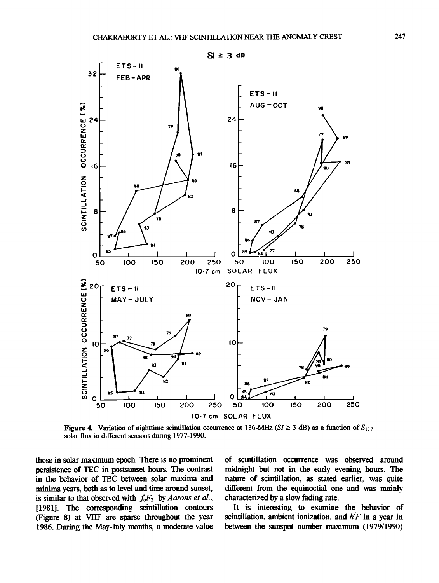

**Figure 4.** Variation of nighttime scintillation occurrence at 136-MHz (SI  $\geq$  3 dB) as a function of  $S_{107}$ solar flux in different seasons during 1977-1990.

those in solar maximum epoch. There is no prominent persistence of TEC in postsunset hours. The contrast in the behavior of TEC between solar maxima and minima years, both as to level and time around sunset, is similar to that observed with  $f_0F_2$  by Aarons et al., [1981]. The corresponding scintillation contours (Figure 8) at VHF are sparse throughout the year 1986. During the May-July months, a moderate value of scintillation occurrence was observed around midnight but not in the early evening hours. The nature of scintillation, as stated earlier, was quite different from the equinoctial one and was mainly characterized by a slow fading rate.

It is interesting to examine the behavior of scintillation, ambient ionization, and  $h/F$  in a year in between the sunspot number maximum (1979/1990)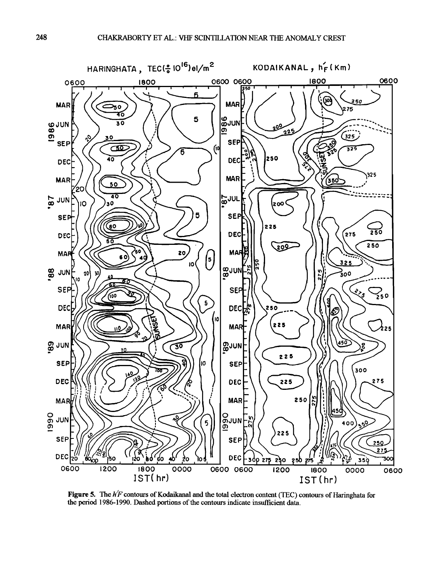

Figure 5. The  $h$ <sup> $\prime$ </sup> F contours of Kodaikanal and the total electron content (TEC) contours of Haringhata for the period 1986-1990. Dashed portions of the contours indicate insufficient data.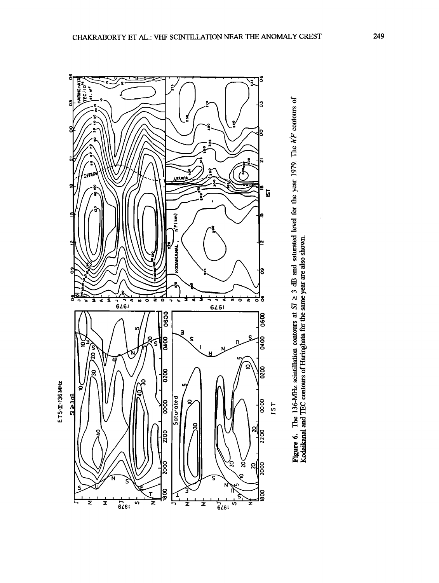

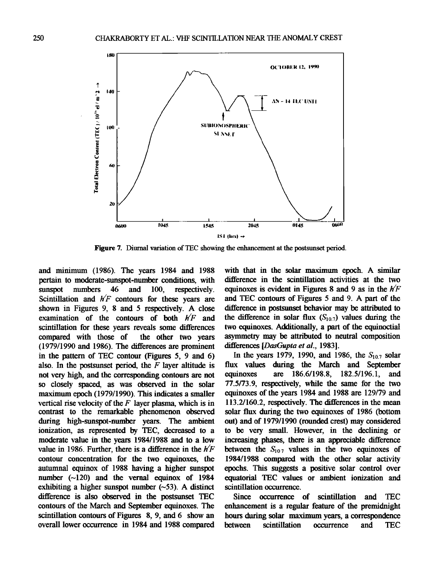

**Figure 7. Diurnal variation of TEC showing the enhancement at the postsunset period.** 

**and miramum (1986). The years 1984 and 1988 pertain to moderate-sunspot-number conditions, with sunspot numbers 46 and 100, respectively. Scintillation and h/F contours for these years are shown in Figures 9, 8 and 5 respectively. A close examination of the contours of both h/F and scintillation for these years reveals some differences**  compared with those of **(1979/1990 and 1986). The differences are prominent in the pattern of TEC contour (Figures 5, 9 and 6) also. In the postsunset period, the F layer altitude is not very high, and the corresponding contours are not so closely spaced, as was observed in the solar**  maximum epoch (1979/1990). This indicates a smaller **vertical rise velocity of the F layer plasma, which is in contrast to the remarkable phenomenon observed**  during high-sunspot-number years. The ambient **iomzation, as represented by TEC, decreased to a moderate value in the years 1984/1988 and to a low**  value in 1986. Further, there is a difference in the  $h/F$ **contour concentration for the two equinoxes, the autumnal equinox of 1988 having a higher sunspot**  number (~120) and the vernal equinox of 1984 exhibiting a higher sunspot number  $(-53)$ . A distinct **difference is also observed in the postsunset TEC contours of the March and September equinoxes. The scintillation contours of Figares 8, 9, and 6 show an overall lower occurrence in 1984 and 1988 compared** 

**with that in the solar maximum epoch. A similar difference in the scintillation activities at the two equinoxes is evident in Figures 8and 9 as in the h/F and TEC contours of Figures 5 and 9. A part of the difference in postsunset behavior may be attributed to**  the difference in solar flux  $(S_{10.7})$  values during the **two equinoxes. Additionally, a part of the equinoctial asynunetry may be attributed to neutral composition differences [DasGupta et al., 1983].** 

In the years 1979, 1990, and 1986, the  $S_{10.7}$  solar flux values during the March and September equinoxes are  $186.6/198.8$ ,  $182.5/196.1$ , and **equinoxes are 186.6/198.8, 182.5/196.1, and 77.5/73.9, respectively, while the same for the two equinoxes of the years 1984 and 1988 are 129/79 and 113.2/160.2, respectively. The differences in the mean solar flux during the two equinoxes of 1986 (bottom out) and of 1979/1990 (rounded crest) may considered to be very small. However, in the declining or increasing phases, there is an appreciable difference**  between the  $S_{107}$  values in the two equinoxes of 1984/1988 compared with the other solar activity **epochs. This suggests a positive solar control over equatorial TEC values or ambient ionization and scintillation occurrence.** 

**Since occurrence of scintillation and TEC enhancement is a regular feature of the premidnight hours during solar maximum years, a correspondence between** scintillation occurrence and TEC **becurrence**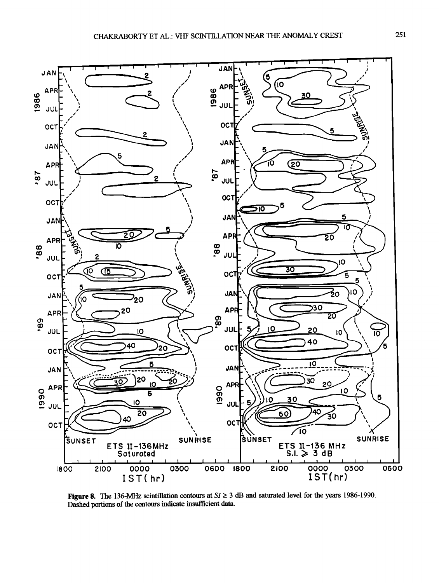

Figure 8. The 136-MHz scintillation contours at  $SI \ge 3$  dB and saturated level for the years 1986-1990. Dashed portions of the contours indicate insufficient data.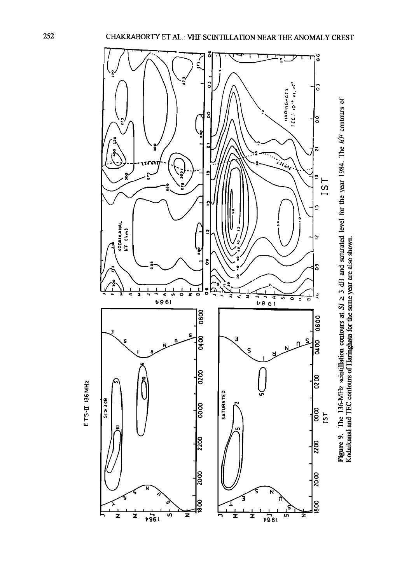

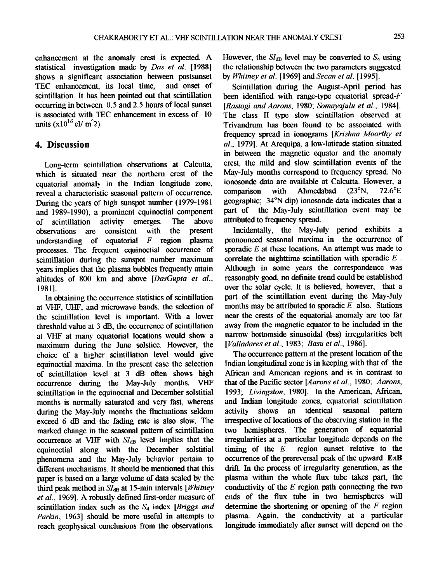**enhancement at the anomaly crest is expected. A statistical investigation made by Das et al. [1988] shows a significant association between postsunset TEC** enhancement, its local time. **scintillation. It has been pointed out that scintillation occurring in between 0.5 and 2.5 hours of local sunset is associated with TEC enhancement in excess of 10 units**  $(x10^{16}$  el/ m<sup>2</sup>).

# **4. Discussion**

**Long-term scintillation observations at Calcutta, which is situated near the northern crest of the equatorial anomaly in the Indian longitude zone, reveal a characteristic seasonal pattern of occurrence. During the years of high sunspot number ( 1979-198 l and 1989-1990), a prominent equinoctial component of scintillation activity emerges. The above observations** are consistent with the present understanding of equatorial F region plasma of equatorial  $F$  region **processes. The frequent equinoctial occurrence of scintillation during the sunspot number maximum years implies that the plasma bubbles frequently attain altitudes of 800 km and above [DasGupta et al.. 19811.** 

**In obtaining the occurrence statistics of scintillation at VHF, UHF, and microwave bands, the selection of the scintillation level is important. With a lower threshold value at 3 dB, the occurrence of scintillation at VHF at many equatorial locations would show a maximum during the June solstice. However, the choice of a higher scintillation level would give equinoctial maxima. In the present case the selection of scintillation level at 3 dB often shows high occurrence** during the May-July months. **scintillation in the equinoctial and December solstitial months is normally saturated and very fast, whereas during the May-July months the fluctuations seldom exceed 6 dB and the fading rate is also slow. The marked change in the seasonal pattern of scintillation occurrence at VHF with**  $SI_{dB}$  **level implies that the equinoctial along with the December solstitial phenomena and the May-July behavior pertain to different mechanisms. It should be mentioned that this paper is based on a large volume of data scaled by the**  third peak method in SI<sub>dB</sub> at 15-min intervals [*Whitney* **et al., 1969]. A robustly defined first-order measure of**  scintillation index such as the  $S_4$  index [Briggs and **Parkin, 1963] should be more useful in attempts to**  reach geophysical conclusions from the observations.

However, the  $SI_{dB}$  level may be converted to  $S_4$  using **the relationship between the two parameters suggested by Whimey et al. [1969] andSecan et al. [1995].** 

**Scintillation during the August-April period has**  been identified with range-type equatorial spread- $F$ **[Rastogi and Aarons, 1980; Somayajulu et al., 1984].** The class II type slow scintillation observed at **Trivandmm has been found to be associated with**  frequency spread in ionograms [Krishna Moorthy et **al., 1979]. At Arequipa, a low-latitude station situated in between the magnetic equator and the anomaly crest. the mild and slow scintillation events of the May-July months correspond to frequency spread. No ionosonde data are available at Calcutta. However, a comparison with Ahmedabad (23°N, 72.6°E) comparison with Ahmedabad (23øN. 72.6øE geographic: 34øN dip) ionosonde data indicates that a part of the May-July scintillation event may be attributed to frequency spread.** 

**Incidentally, the May-July period exhibits a pronounced seasonal maxima in the occurrence of**  sporadic *E* at these locations. An attempt was made to **correlate the nighttime scintillation with sporadic E Although in some years the correspondence was reasonably good, no definite trend could be established**  over the solar cycle. It is believed, however, that a **part of the scintillation event during the May-July months may be attributed to sporadic E also. Stations near the crests of the equatorial anomaly are too far away from the magnetic equator to be included in the narrow bottomside sinusoidal (bss) irregularities belt [Valladares et al.. 1983' Basu et al., 1986].** 

**The occurrence pattern at the present location of the Indian longitudinal zone is in keeping with that of the African and American regions and is in contrast to that of the Pacific sector [Aarons et al., 1980; Aarons, 1993: Livingston. 19801. In the American. African, and Indian longitude zones, equatorial scintillation**  activity shows an identical seasonal **irrespective of locations of the observing station in the two hemispheres. The generation of equatorial irregularities at a particular longitude depends on the**  region sunset relative to the **occurrence of the prereversal peak of the upward ExB drift. In the process of irregularity. generation, as the plasma within the whole flux tube takes part, the**  conductivity of the  $E$  region path connecting the two ends of the flux tube in two hemispheres will **determine the shortening or opening of the F region plasma. Again, the conductivity at a particular longitude immediately after sunset will depend on the**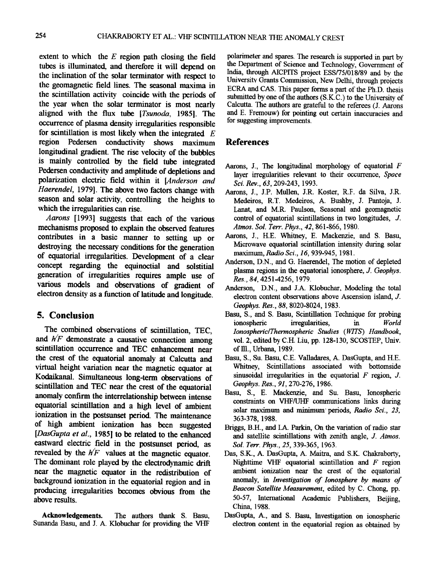**extent to which the E region path closing the field**  tubes is illuminated, and therefore it will depend on the inclination of the solar terminator with respect to **the geomagnetic field lines. The seasonal maxima in the scintillation activity coincide with the periods of the year when the solar terminator is most nearly aligned with the flux tube [Tsunoda, 1985]. The occurrence of plasma density irregularities responsible for scintillation is most likely when the integrated E**  region Pedersen conductivity shows maximum longitudinal gradient. The rise velocity of the bubbles **is mainly controlled by the field tube integrated**  Pedersen conductivity and amplitude of depletions and **polarization electric field within it [Anderson and**  Haerendel, 1979]. The above two factors change with season and solar activity, controlling the heights to **which the irregularities can rise.** 

**Aarons [1993] suggests that each of the various mechanisms proposed to explain the observed features contributes in a basic manner to setting up or destroying the necessary conditions for the generation of equatorial irregularities. Development of a clear concept regarding the equinoctial and solstitial generation of irregularities requires ample use of various models and observations of gradient of electron density as a function of latitude and longitude.** 

# **5. Conclusion**

The combined observations of scintillation, TEC, and  $h/F$  demonstrate a causative connection among **scintillation occurrence and TEC enhancement near the crest of the equatorial anomaly at Calcutta and virtual height variation near the magnetic equator at Kodaikanal. Simultaneous long-term observations of scintillation and TEC near the crest of the equatorial**  anomaly confirm the interrelationship between intense **equatorial scintillation and a high level of ambient ionization in the postsunset period. The maintenance of high ambient ionization has been suggested [DasGupta et al., 1985] to be related to the enhanced eastward electric field in the postsunset period, as revealed by the h/F values at the magnetic equator. The dominant role played by the electrodynamic drift near the magnetic equator in the redistribution of background ionization in the equatorial region and in producing irregularities becomes obvious from the above results.** 

**Acknowledgements. The authors thank S. Basu,**  Sunanda Basu, and J. A. Klobuchar for providing the VHF **polarimeter and spares. The research is supported in part by the Department of Science and Technology, Government of India, through AICPITS project ESS/75/018/89 and bv the Umversitv Grants Commission, New Delhi, through projects ECRA and CAS. This paper forms a part of the Ph.D. thesis submitted by one of the authors (S.K.C.) to the University of**  Calcutta. The authors are grateful to the referees (J. Aarons and E. Fremouw) for pointing out certain inaccuracies and **for suggesting improvements.** 

## **References**

- **Aarons, J., The longitudinal morphology of equatorial F layer irregularities relevant to their occurrence, Space Sci. Rev., 63, 209-243, 1993.**
- **Aarons, J., J.P. Mullen, J.R. Koster, R.F. da Silva, J.R. Medeiros, R.T. Medeiros, A. Bushby, J. Pantoja, J. Lanat, and M.R. Paulson, Seasonal and geomagnetic control of equatorial scintillations m two longitudes, J. Atmos. Sol. Terr. Phys., 42, 861-866, 1980.**
- **Aarons, J., H.E. Whitney, E. Mackenzie, and S. Basu,**  Microwave equatorial scintillation intensity during solar **maximun•, Radio Sci., 16, 939-945, 1981.**
- **Anderson, D.N., and G. Haerendel, The motion of depleted plasma regions m the equatorial ionosphere, J. Geophys. Res., 84, 4251-4256, 1979.**
- **Anderson, D.N., and J.A. Klobuchar, Modeling the total electron content observations above Ascension island, J. Geophys. Res., 88, 8020-8024, 1983.**
- Basu, S., and S. Basu, Scintillation Technique for probing ionospheric irregularities, in World **inversions** in World **in Ionospheric/Thermospheric Studies (WITS) Handbook, vol. 2, edited by C.H. Liu, pp. 128-130, SCOSTEP, Univ. of II1., Urbana, 1989.**
- **Basu, S., Su. Basu, C.E. Valladares, A. DasGupta, and H.E. Whitney, Scintillations associated with bottomside sinusoidal irregularities in the equatorial F region, J. Geophys. Res., 91,270-276, 1986.**
- **Basu, S., E. Mackenzie, and Su. Basu, Ionospheric constraints on VHF/UHF communications links during solar maximum and minimum' periods, Radio Sci., 23, 363-378, 1988.**
- **Briggs, B.H., and I.A. Parkin, On the variation of radio star and satellite scintillations with zenith angle, J. Atmos. Sol. Terr. Phys., 25, 339-365, 1963.**
- **Das, S.K., A. DasGupta, A. Maitra, and S.K. Chakraborty, Nighttime VHF equatorial scintillation and F region ambient ionization near the crest of the equatorial anomaly, in Investigation of Ionosphere by means of Beacon Satellite Measurement, edited by C. Chong, pp. 50-57, International Academic Publishers, Beijing, China, 1988.**
- **DasGupta, A., and S. Basu, Investigation on ionospheric electron content m the equatorial region as obtained by**